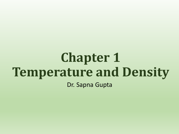# **Chapter 1 Temperature and Density** Dr. Sapna Gupta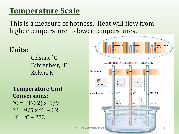### **Temperature Scale**

This is a measure of hotness. Heat will flow from higher temperature to lower temperatures.

#### **Units:**

Celsius, °C Fahrenheit, °F Kelvin, K

#### **Temperature Unit Conversions:**   $^{\circ}$ C = ( $^{\circ}$ F-32) x 5/9  $\mathrm{^{\circ}F} = 9/5 \times \mathrm{^{\circ}C} + 32$  $K = {}^{0}C + 273$

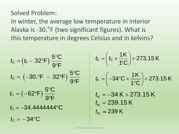#### Solved Problem:

In winter, the average low temperature in interior Alaska is -30.°F (two significant figures). What is this temperature in degrees Celsius and in kelvins?

$$
t_{c} = (t_{F} - 32^{\circ}F) \frac{5^{\circ}C}{9^{\circ}F}
$$
\n
$$
t_{c} = (-30.^{\circ}F - 32^{\circ}F) \frac{5^{\circ}C}{9^{\circ}F}
$$
\n
$$
t_{c} = (-62^{\circ}F) \frac{5^{\circ}C}{9^{\circ}F}
$$
\n
$$
t_{c} = -34.44444444^{\circ}C
$$
\n
$$
t_{c} = -34^{\circ}C
$$
\n
$$
t_{c} = -34^{\circ}C
$$
\n
$$
t_{c} = -34^{\circ}C
$$
\n
$$
t_{c} = 34^{\circ}C
$$
\n
$$
t_{c} = 34^{\circ}C
$$
\n
$$
t_{c} = 34^{\circ}C
$$
\n
$$
t_{c} = 34^{\circ}C
$$
\n
$$
t_{c} = 34^{\circ}C
$$
\n
$$
t_{c} = 34^{\circ}C
$$
\n
$$
t_{c} = 34^{\circ}C
$$
\n
$$
t_{c} = 34^{\circ}C
$$
\n
$$
t_{c} = 34^{\circ}C
$$
\n
$$
t_{c} = 34^{\circ}C
$$
\n
$$
t_{c} = 34^{\circ}C
$$
\n
$$
t_{c} = 34^{\circ}C
$$
\n
$$
t_{c} = 34^{\circ}C
$$
\n
$$
t_{c} = 34^{\circ}C
$$
\n
$$
t_{c} = 34^{\circ}C
$$
\n
$$
t_{c} = 34^{\circ}C
$$
\n
$$
t_{c} = 34^{\circ}C
$$
\n
$$
t_{c} = 34^{\circ}C
$$
\n
$$
t_{c} = 34^{\circ}C
$$
\n
$$
t_{c} = 34^{\circ}C
$$
\n
$$
t_{c} = 34^{\circ}C
$$
\n
$$
t_{c} = 34^{\circ}C
$$
\n
$$
t_{c} = 34^{\circ}C
$$
\n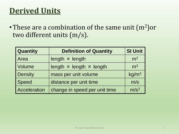### **Derived Units**

• These are a combination of the same unit  $(m^2)$ or two different units (m/s).

| Quantity            | <b>Definition of Quantity</b>          | <b>SI Unit</b>    |
|---------------------|----------------------------------------|-------------------|
| Area                | length $\times$ length                 | m <sup>2</sup>    |
| Volume              | length $\times$ length $\times$ length | m <sup>3</sup>    |
| <b>Density</b>      | mass per unit volume                   | kg/m <sup>3</sup> |
| Speed               | distance per unit time                 | m/s               |
| <b>Acceleration</b> | change in speed per unit time          | m/s <sup>2</sup>  |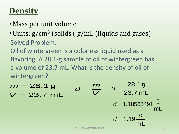### **Density**

- •Mass per unit volume
- Units:  $g/cm<sup>3</sup>$  (solids),  $g/mL$  (liquids and gases) Solved Problem:

Oil of wintergreen is a colorless liquid used as a flavoring. A 28.1-g sample of oil of wintergreen has a volume of 23.7 mL. What is the density of oil of wintergreen?

*V m d*  $V = 23.7 \text{ mL}$ 28.1g *m* 23.7 mL 28.1g *d* mL g *d* 1.18565491 mL g  $d = 1.19$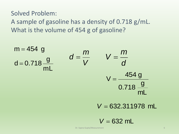Solved Problem:

A sample of gasoline has a density of 0.718 g/mL. What is the volume of 454 g of gasoline?

mL g  $d = 0.718$  $m = 454$  g mL g 0.718 454 g  $V =$ *V* =  $\frac{454}{0.718}$ <br> *V* = 632.311<br> *V* = 632 mL *m V V m d*

 $V = 632.311978$  mL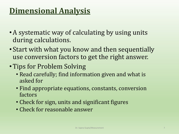## **Dimensional Analysis**

- •A systematic way of calculating by using units during calculations.
- Start with what you know and then sequentially use conversion factors to get the right answer.
- Tips for Problem Solving
	- Read carefully; find information given and what is asked for
	- Find appropriate equations, constants, conversion factors
	- Check for sign, units and significant figures
	- Check for reasonable answer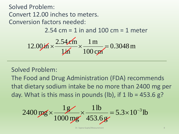Solved Problem: Convert 12.00 inches to meters. Conversion factors needed:

 $2.54$  cm = 1 in and 100 cm = 1 meter

$$
12.00 \text{ in } \times \frac{2.54 \text{ cm}}{1 \text{ in } \times} \frac{1 \text{ m}}{100 \text{ cm}} = 0.3048 \text{ m}
$$

Solved Problem:

The Food and Drug Administration (FDA) recommends that dietary sodium intake be no more than 2400 mg per day. What is this mass in pounds (lb), if  $1$  lb = 453.6 g?

$$
2400 \,\text{mg} \times \frac{1 \,\text{g}}{1000 \,\text{mg}} \times \frac{1 \,\text{lb}}{453.6 \,\text{g}} = 5.3 \times 10^{-3} \,\text{lb}
$$